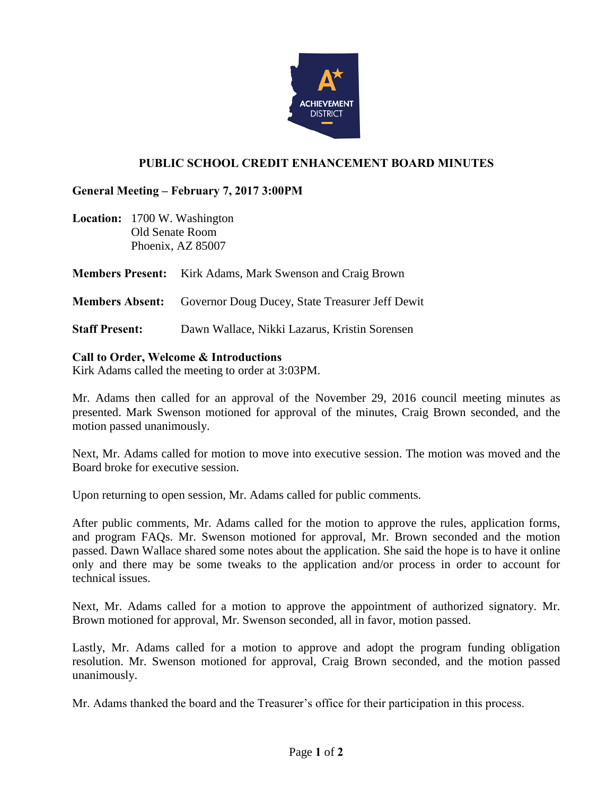

# **PUBLIC SCHOOL CREDIT ENHANCEMENT BOARD MINUTES**

## **General Meeting – February 7, 2017 3:00PM**

**Location:** 1700 W. Washington Old Senate Room Phoenix, AZ 85007

**Members Present:** Kirk Adams, Mark Swenson and Craig Brown

**Members Absent:** Governor Doug Ducey, State Treasurer Jeff Dewit

**Staff Present:** Dawn Wallace, Nikki Lazarus, Kristin Sorensen

#### **Call to Order, Welcome & Introductions**

Kirk Adams called the meeting to order at 3:03PM.

Mr. Adams then called for an approval of the November 29, 2016 council meeting minutes as presented. Mark Swenson motioned for approval of the minutes, Craig Brown seconded, and the motion passed unanimously.

Next, Mr. Adams called for motion to move into executive session. The motion was moved and the Board broke for executive session.

Upon returning to open session, Mr. Adams called for public comments.

After public comments, Mr. Adams called for the motion to approve the rules, application forms, and program FAQs. Mr. Swenson motioned for approval, Mr. Brown seconded and the motion passed. Dawn Wallace shared some notes about the application. She said the hope is to have it online only and there may be some tweaks to the application and/or process in order to account for technical issues.

Next, Mr. Adams called for a motion to approve the appointment of authorized signatory. Mr. Brown motioned for approval, Mr. Swenson seconded, all in favor, motion passed.

Lastly, Mr. Adams called for a motion to approve and adopt the program funding obligation resolution. Mr. Swenson motioned for approval, Craig Brown seconded, and the motion passed unanimously.

Mr. Adams thanked the board and the Treasurer's office for their participation in this process.